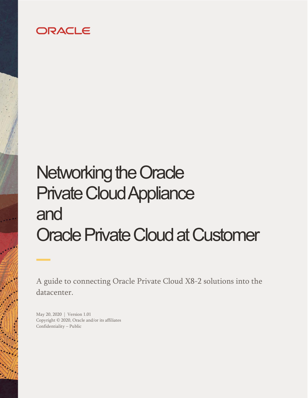# ORACLE

# <span id="page-0-0"></span>Networking the Oracle Private Cloud Appliance and Oracle Private Cloud at Customer

A guide to connecting Oracle Private Cloud X8-2 solutions into the datacenter.

May 20, 2020 | Version 1.01 Copyright © 2020, Oracle and/or its affiliates Confidentiality – Public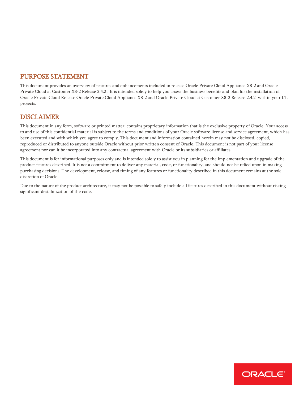# <span id="page-1-1"></span>PURPOSE STATEMENT

<span id="page-1-0"></span>This document provides an overview of features and enhancements included in release Oracle Private Cloud Appliance X8-2 and Oracle Private Cloud at Customer X8-2 Release 2.4.2 . It is intended solely to help you assess the business benefits and plan for the installation of Oracle Private Cloud Release [Oracle Private Cloud Appliance X8-2 and Oracle Private Cloud at Customer X8-2 Release 2.4.2 w](#page-1-0)ithin your I.T. projects.

# <span id="page-1-2"></span>DISCLAIMER

This document in any form, software or printed matter, contains proprietary information that is the exclusive property of Oracle. Your access to and use of this confidential material is subject to the terms and conditions of your Oracle software license and service agreement, which has been executed and with which you agree to comply. This document and information contained herein may not be disclosed, copied, reproduced or distributed to anyone outside Oracle without prior written consent of Oracle. This document is not part of your license agreement nor can it be incorporated into any contractual agreement with Oracle or its subsidiaries or affiliates.

This document is for informational purposes only and is intended solely to assist you in planning for the implementation and upgrade of the product features described. It is not a commitment to deliver any material, code, or functionality, and should not be relied upon in making purchasing decisions. The development, release, and timing of any features or functionality described in this document remains at the sole discretion of Oracle.

Due to the nature of the product architecture, it may not be possible to safely include all features described in this document without risking significant destabilization of the code.

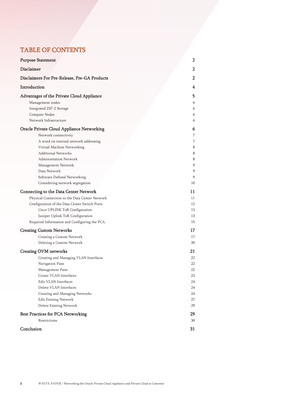# TABLE OF CONTENTS

| <b>Purpose Statement</b>                         | 2              |
|--------------------------------------------------|----------------|
| Disclaimer                                       | 2              |
| Disclaimers For Pre-Release, Pre-GA Products     | $\overline{2}$ |
| Introduction                                     | 4              |
| Advantages of the Private Cloud Appliance        | 5              |
| Management nodes                                 | 6              |
| Integrated ZS7-2 Storage                         | 6              |
| Compute Nodes                                    | 6              |
| Network Infrastructure                           | 6              |
| <b>Oracle Private Cloud Appliance Networking</b> | 6              |
| Network connectivity                             | 7              |
| A word on internal network addressing            | 7              |
| Virtual Machine Networking                       | 8              |
| <b>Additional Networks</b>                       | 8              |
| <b>Administration Network</b>                    | 8              |
| Management Network                               | 9              |
| Data Network                                     | 9              |
| Software Defined Networking                      | 9              |
| Considering network segregation                  | 10             |
| <b>Connecting to the Data Center Network</b>     | 11             |
| Physical Connection to the Data Center Network   | 11             |
| Configuration of the Data Center Switch Ports    | 12             |
| Cisco UPLINK ToR Configuration                   | 13             |
| Juniper Uplink ToR Configuration                 | 13             |
| Required Information and Configuring the PCA.    | 15             |
| <b>Creating Custom Networks</b>                  | 17             |
| Creating a Custom Network                        | 17             |
| Deleting a Custom Network                        | 20             |
| <b>Creating OVM networks</b>                     | 21             |
| Creating and Managing VLAN Interfaces            | 22             |
| Navigation Pane                                  | 22             |
| Management Pane                                  | 22             |
| Create VLAN Interfaces                           | 23             |
| Edit VLAN Interfaces                             | 24             |
| Delete VLAN Interfaces                           | 24             |
| Creating and Managing Networks                   | 24             |
| <b>Edit Existing Network</b>                     | 27             |
| Delete Existing Network                          | 29             |
| <b>Best Practices for PCA Networking</b>         | 29             |
| Restrictions                                     | 30             |
| Conclusion                                       | 31             |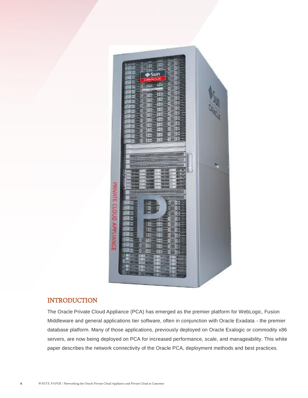

# <span id="page-3-0"></span>INTRODUCTION

The Oracle Private Cloud Appliance (PCA) has emerged as the premier platform for WebLogic, Fusion Middleware and general applications tier software, often in conjunction with Oracle Exadata - the premier database platform. Many of those applications, previously deployed on Oracle Exalogic or commodity x86 servers, are now being deployed on PCA for increased performance, scale, and manageability. This white paper describes the network connectivity of the Oracle PCA, deployment methods and best practices.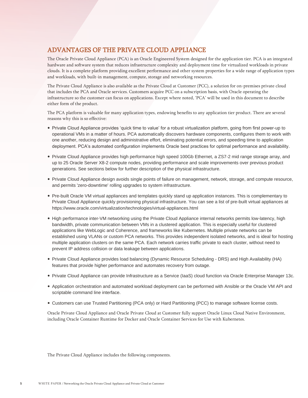# <span id="page-4-0"></span>ADVANTAGES OF THE PRIVATE CLOUD APPLIANCE

The Oracle Private Cloud Appliance (PCA) is an Oracle Engineered System designed for the application tier. PCA is an integrated hardware and software system that reduces infrastructure complexity and deployment time for virtualized workloads in private clouds. It is a complete platform providing excellent performance and other system properties for a wide range of application types and workloads, with built-in management, compute, storage and networking resources.

The Private Cloud Appliance is also available as the Private Cloud at Customer (PCC), a solution for on-premises private cloud that includes the PCA and Oracle services. Customers acquire PCC on a subscription basis, with Oracle operating the infrastructure so the customer can focus on applications. Except where noted, 'PCA' will be used in this document to describe either form of the product.

The PCA platform is valuable for many application types, endowing benefits to any application tier product. There are several reasons why this is so effective:

- Private Cloud Appliance provides 'quick time to value' for a robust virtualization platform, going from first power-up to operational VMs in a matter of hours. PCA automatically discovers hardware components, configures them to work with one another, reducing design and administrative effort, eliminating potential errors, and speeding time to application deployment. PCA's automated configuration implements Oracle best practices for optimal performance and availability.
- Private Cloud Appliance provides high performance high speed 100Gb Ethernet, a ZS7-2 mid range storage array, and up to 25 Oracle Server X8-2 compute nodes, providing performance and scale improvements over previous product generations. See sections below for further description of the physical infrastructure.
- Private Cloud Appliance design avoids single points of failure on management, network, storage, and compute resource, and permits 'zero-downtime' rolling upgrades to system infrastructure.
- Pre-built Oracle VM virtual appliances and templates quickly stand up application instances. This is complementary to Private Cloud Appliance quickly provisioning physical infrastructure. You can see a list of pre-built virtual appliances at https://www.oracle.com/virtualization/technologies/virtual-appliances.html
- High performance inter-VM networking using the Private Cloud Appliance internal networks permits low-latency, high bandwidth, private communication between VMs in a clustered application. This is especially useful for clustered applications like WebLogic and Coherence, and frameworks like Kubernetes. Multiple private networks can be established using VLANs or custom PCA networks. This provides independent isolated networks, and is ideal for hosting multiple application clusters on the same PCA. Each network carries traffic private to each cluster, without need to prevent IP address collision or data leakage between applications.
- Private Cloud Appliance provides load balancing (Dynamic Resource Scheduling DRS) and High Availability (HA) features that provide higher performance and automates recovery from outage.
- Private Cloud Appliance can provide Infrastructure as a Service (IaaS) cloud function via Oracle Enterprise Manager 13c.
- Application orchestration and automated workload deployment can be performed with Ansible or the Oracle VM API and scriptable command line interface.
- Customers can use Trusted Partitioning (PCA only) or Hard Partitioning (PCC) to manage software license costs.

Oracle Private Cloud Appliance and Oracle Private Cloud at Customer fully support Oracle Linux Cloud Native Environment, including Oracle Container Runtime for Docker and Oracle Container Services for Use with Kubernetes.

The Private Cloud Appliance includes the following components.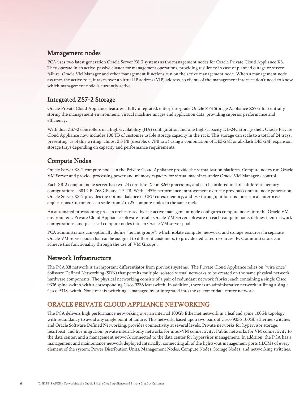# <span id="page-5-0"></span>Management nodes

PCA uses two latest generation Oracle Server X8-2 systems as the management nodes for Oracle Private Cloud Appliance X8. They operate in an active-passive cluster for management operations, providing resiliency in case of planned outage or server failure. Oracle VM Manager and other management functions run on the active management node. When a management node assumes the active role, it takes over a virtual IP address (VIP) address, so clients of the management interface don't need to know which management node is currently active.

# <span id="page-5-1"></span>Integrated ZS7-2 Storage

Oracle Private Cloud Appliance features a fully integrated, enterprise-grade Oracle ZFS Storage Appliance ZS7-2 for centrally storing the management environment, virtual machine images and application data, providing superior performance and efficiency.

With dual ZS7-2 controllers in a high-availability (HA) configuration and one high-capacity DE-24C storage shelf, Oracle Private Cloud Appliance now includes 100 TB of customer usable storage capacity in the rack. This storage can scale to a total of 24 trays, presenting, as of this writing, almost 3.3 PB (useable, 6.7PB raw) using a combination of DE3-24C or all-flash DE3-24P expansion storage trays depending on capacity and performance requirements.

# <span id="page-5-2"></span>Compute Nodes

Oracle Server X8-2 compute nodes in the Private Cloud Appliance provide the virtualization platform. Compute nodes run Oracle VM Server and provide processing power and memory capacity for virtual machines under Oracle VM Manager's control.

Each X8-2 compute node server has two 24 core Intel Xeon 8260 processors, and can be ordered in three different memory configurations - 384 GB, 768 GB, and 1.5 TB. With a 45% performance improvement over the previous compute node generation, Oracle Server X8-2 provides the optimal balance of CPU cores, memory, and I/O throughput for mission-critical enterprise applications. Customers can scale from 2 to 25 compute nodes in the same rack.

An automated provisioning process orchestrated by the active management node configures compute nodes into the Oracle VM environment. Private Cloud Appliance software installs Oracle VM Server software on each compute node, defines their network configurations, and places all compute nodes into an Oracle VM server pool.

PCA administrators can optionally define "tenant groups", which isolate compute, network, and storage resources in separate Oracle VM server pools that can be assigned to different customers, to provide dedicated resources. PCC administrators can achieve this functionality through the use of 'VM Groups'.

# <span id="page-5-3"></span>Network Infrastructure

The PCA X8 network is an important differentiator from previous systems. The Private Cloud Appliance relies on "wire once" Software Defined Networking (SDN) that permits multiple isolated virtual networks to be created on the same physical network hardware components. The physical networking consists of a pair of redundant network fabrics, each containing a single Cisco 9336 spine switch with a corresponding Cisco 9336 leaf switch. In addition, there is an administrative network utilizing a single Cisco 9348 switch. None of this switching is managed by or integrated into the customer data center network.

# <span id="page-5-4"></span>ORACLE PRIVATE CLOUD APPLIANCE NETWORKING

The PCA delivers high performance networking over an internal 100Gb Ethernet network in a leaf and spine 100Gb topology with redundancy to avoid any single point of failure. This network, based upon two pairs of Cisco 9336 100Gb ethernet switches and Oracle Software Defined Networking, provides connectivity at several levels: Private networks for hypervisor storage, heartbeat, and live migration; private internal-only networks for inter-VM connectivity; Public networks for VM connectivity to the data center; and a management network connected to the data center for hypervisor management. In addition, the PCA has a management and maintenance network deployed internally, connecting all of the lights-out management ports (iLOM) of every element of the system: Power Distribution Units, Management Nodes, Compute Nodes, Storage Nodes, and networking switches.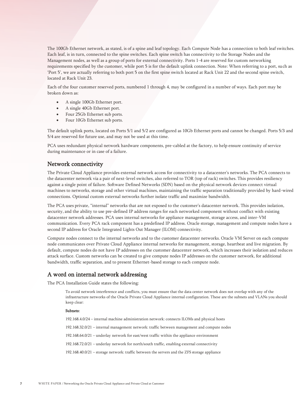The 100Gb Ethernet network, as stated, is of a spine and leaf topology. Each Compute Node has a connection to both leaf switches. Each leaf, is in turn, connected to the spine switches. Each spine switch has connectivity to the Storage Nodes and the Management nodes, as well as a group of ports for external connectivity. Ports 1-4 are reserved for custom networking requirements specified by the customer, while port 5 is for the default uplink connection. Note: When referring to a port, such as 'Port 5', we are actually referring to both port 5 on the first spine switch located at Rack Unit 22 and the second spine switch, located at Rack Unit 23.

Each of the four customer reserved ports, numbered 1 through 4, may be configured in a number of ways. Each port may be broken down as:

- A single 100Gb Ethernet port.
- A single 40Gb Ethernet port.
- Four 25Gb Ethernet sub ports.
- Four 10Gb Ethernet sub ports.

The default uplink ports, located on Ports 5/1 and 5/2 are configured as 10Gb Ethernet ports and cannot be changed. Ports 5/3 and 5/4 are reserved for future use, and may not be used at this time.

PCA uses redundant physical network hardware components, pre-cabled at the factory, to help ensure continuity of service during maintenance or in case of a failure.

### <span id="page-6-0"></span>Network connectivity

The Private Cloud Appliance provides external network access for connectivity to a datacenter's networks. The PCA connects to the datacenter network via a pair of next-level switches, also referred to TOR (top of rack) switches. This provides resiliency against a single point of failure. Software Defined Networks (SDN) based on the physical network devices connect virtual machines to networks, storage and other virtual machines, maintaining the traffic separation traditionally provided by hard-wired connections. Optional custom external networks further isolate traffic and maximize bandwidth.

The PCA uses private, "internal" networks that are not exposed to the customer's datacenter network. This provides isolation, security, and the ability to use pre-defined IP address ranges for each networked component without conflict with existing datacenter network addresses. PCA uses internal networks for appliance management, storage access, and inter-VM communication. Every PCA rack component has a predefined IP address. Oracle storage, management and compute nodes have a second IP address for Oracle Integrated Lights Out Manager (ILOM) connectivity.

Compute nodes connect to the internal networks and to the customer datacenter networks. Oracle VM Server on each compute node communicates over Private Cloud Appliance internal networks for management, storage, heartbeat and live migration. By default, compute nodes do not have IP addresses on the customer datacenter network, which increases their isolation and reduces attack surface. Custom networks can be created to give compute nodes IP addresses on the customer network, for additional bandwidth, traffic separation, and to present Ethernet-based storage to each compute node.

# <span id="page-6-1"></span>A word on internal network addressing

The PCA Installation Guide states the following:

To avoid network interference and conflicts, you must ensure that the data center network does not overlap with any of the infrastructure networks of the Oracle Private Cloud Appliance internal configuration. These are the subnets and VLANs you should keep clear:

#### Subnets:

192.168.4.0/24 – internal machine administration network: connects ILOMs and physical hosts 192.168.32.0/21 – internal management network: traffic between management and compute nodes

192.168.64.0/21 – underlay network for east/west traffic within the appliance environment

192.168.72.0/21 – underlay network for north/south traffic, enabling external connectivity

192.168.40.0/21 – storage network: traffic between the servers and the ZFS storage appliance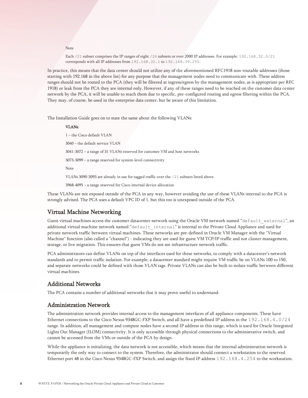Note

Each /21 subnet comprises the IP ranges of eight /24 subnets or over 2000 IP addresses. For example: 192.168.32.0/21 corresponds with all IP addresses from 192.168.32.1 to 192.168.39.255.

In practice, this means that the data center should not utilize any of the aforementioned RFC1918 non-routable addresses (those starting with 192.168 in the above list) for any purpose that the management nodes need to communicate with. These address ranges should not be routed to the PCA (they will be filtered at ingress/egress by the management nodes, as is appropriate per RFC 1918) or leak from the PCA they are internal only. However, if any of these ranges need to be reached on the customer data center network by the PCA, it will be unable to reach them due to specific, pre-configured routing and egress filtering within the PCA. They may, of course, be used in the enterprise data center, but be aware of this limitation.

The Installation Guide goes on to state the same about the following VLANs:

#### VLANs:

1 – the Cisco default VLAN 3040 – the default service VLAN 3041-3072 – a range of 31 VLANs reserved for customer VM and host networks 3073-3099 – a range reserved for system-level connectivity Note VLANs 3090-3093 are already in use for tagged traffic over the /21 subnets listed above. 3968-4095 – a range reserved for Cisco internal device allocation

These VLANs are not exposed outside of the PCA in any way, however avoiding the use of these VLANs internal to the PCA is strongly advised. The PCA uses a default VPC ID of 1, but this too is unexposed outside of the PCA.

### <span id="page-7-0"></span>Virtual Machine Networking

Guest virtual machines access the customer datacenter network using the Oracle VM network named "default external", an additional virtual machine network named "default internal" is internal to the Private Cloud Appliance and used for private network traffic between virtual machines. These networks are pre-defined in Oracle VM Manager with the "Virtual Machine" function (also called a "channel") - indicating they are used for guest VM TCP/IP traffic and not cluster management, storage, or live migration. This ensures that guest VMs do not see infrastructure network traffic.

PCA administrators can define VLANs on top of the interfaces used for these networks, to comply with a datacenter's network standards and to permit traffic isolation. For example, a datacenter standard might require VM traffic be on VLANs 100 to 150, and separate networks could be defined with those VLAN tags. Private VLANs can also be built to isolate traffic between different virtual machines.

### <span id="page-7-1"></span>Additional Networks

The PCA contains a number of additional networks that it may prove useful to understand:

### <span id="page-7-2"></span>Administration Network

The administration network provides internal access to the management interfaces of all appliance components. These have Ethernet connections to the Cisco Nexus 9348GC-FXP Switch, and all have a predefined IP address in the 192.168.4.0/24 range. In addition, all management and compute nodes have a second IP address in this range, which is used for Oracle Integrated Lights Out Manager (ILOM) connectivity. It is only accessible through physical connections to the administrative switch, and cannot be accessed from the VMs or outside of the PCA by design.

While the appliance is initializing, the data network is not accessible, which means that the internal administration network is temporarily the only way to connect to the system. Therefore, the administrator should connect a workstation to the reserved Ethernet port 48 in the Cisco Nexus 9348GC-FXP Switch, and assign the fixed IP address 192.168.4.254 to the workstation.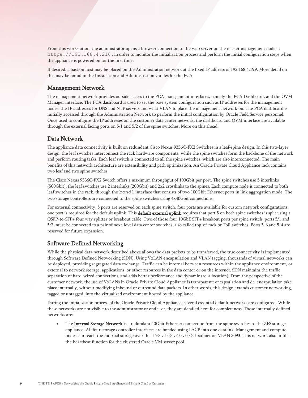From this workstation, the administrator opens a browser connection to the web server on the master management node at https://192.168.4.216 , in order to monitor the initialization process and perform the initial configuration steps when the appliance is powered on for the first time.

If desired, a bastion host may be placed on the Administration network at the fixed IP address of 192.168.4.199. More detail on this may be found in the Installation and Administration Guides for the PCA.

### <span id="page-8-0"></span>Management Network

The management network provides outside access to the PCA management interfaces, namely the PCA Dashboard, and the OVM Manager interface. The PCA dashboard is used to set the base system configuration such as IP addresses for the management nodes, the IP addresses for DNS and NTP servers and what VLAN to place the management network on. The PCA dashboard is initially accessed through the Administration Network to perform the initial configuration by Oracle Field Service personnel. Once used to configure the IP addresses on the customer data center network, the dashboard and OVM interface are available through the external facing ports on 5/1 and 5/2 of the spine switches. More on this ahead.

### <span id="page-8-1"></span>Data Network

The appliance data connectivity is built on redundant Cisco Nexus 9336C-FX2 Switches in a leaf-spine design. In this two-layer design, the leaf switches interconnect the rack hardware components, while the spine switches form the backbone of the network and perform routing tasks. Each leaf switch is connected to all the spine switches, which are also interconnected. The main benefits of this network architecture are extensibility and path optimization. An Oracle Private Cloud Appliance rack contains two leaf and two spine switches.

The Cisco Nexus 9336C-FX2 Switch offers a maximum throughput of 100Gbit per port. The spine switches use 5 interlinks (500Gbit); the leaf switches use 2 interlinks (200Gbit) and 2x2 crosslinks to the spines. Each compute node is connected to both leaf switches in the rack, through the bond1 interface that consists of two 100Gbit Ethernet ports in link aggregation mode. The two storage controllers are connected to the spine switches using 4x40Gbit connections.

For external connectivity, 5 ports are reserved on each spine switch, four ports are available for custom network configurations; one port is required for the default uplink. This **default external uplink** requires that port 5 on both spine switches is split using a QSFP-to-SFP+ four way splitter or breakout cable. Two of those four 10GbE SFP+ breakout ports per spine switch, ports 5/1 and 5/2, must be connected to a pair of next-level data center switches, also called top-of-rack or ToR switches. Ports 5-3 and 5-4 are reserved for future expansion.

### <span id="page-8-2"></span>Software Defined Networking

While the physical data network described above allows the data packets to be transferred, the true connectivity is implemented through Software Defined Networking (SDN). Using VxLAN encapsulation and VLAN tagging, thousands of virtual networks can be deployed, providing segregated data exchange. Traffic can be internal between resources within the appliance environment, or external to network storage, applications, or other resources in the data center or on the internet. SDN maintains the traffic separation of hard-wired connections, and adds better performance and dynamic (re-allocation). From the perspective of the customer network, the use of VxLANs in Oracle Private Cloud Appliance is transparent: encapsulation and de-encapsulation take place internally, without modifying inbound or outbound data packets. In other words, this design extends customer networking, tagged or untagged, into the virtualized environment hosted by the appliance.

During the initialization process of the Oracle Private Cloud Appliance, several essential default networks are configured. While these networks are not visible to the administrator or end user, they are detailed here for completeness. Those internally defined networks are:

The Internal Storage Network is a redundant 40Gbit Ethernet connection from the spine switches to the ZFS storage appliance. All four storage controller interfaces are bonded using LACP into one datalink. Management and compute nodes can reach the internal storage over the 192.168.40.0/21 subnet on VLAN 3093. This network also fulfills the heartbeat function for the clustered Oracle VM server pool.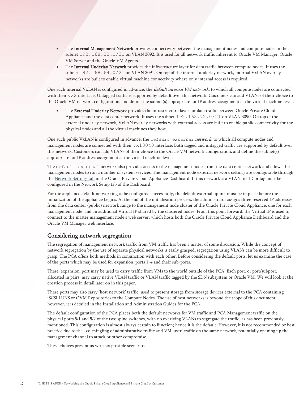- The Internal Management Network provides connectivity between the management nodes and compute nodes in the subnet 192.168.32.0/21 on VLAN 3092. It is used for all network traffic inherent to Oracle VM Manager, Oracle VM Server and the Oracle VM Agents.
- The Internal Underlay Network provides the infrastructure layer for data traffic between compute nodes. It uses the subnet 192.168.64.0/21 on VLAN 3091. On top of the internal underlay network, internal VxLAN overlay networks are built to enable virtual machine connectivity where only internal access is required.

One such internal VxLAN is configured in advance: the *default internal VM network*, to which all compute nodes are connected with their vx2 interface. Untagged traffic is supported by default over this network. Customers can add VLANs of their choice to the Oracle VM network configuration, and define the subnet(s) appropriate for IP address assignment at the virtual machine level.

The External Underlay Network provides the infrastructure layer for data traffic between Oracle Private Cloud Appliance and the data center network. It uses the subnet 192.168.72.0/21 on VLAN 3090. On top of the external underlay network, VxLAN overlay networks with external access are built to enable public connectivity for the physical nodes and all the virtual machines they host.

One such public VxLAN is configured in advance: the  $default\; external\; network$ , to which all compute nodes and management nodes are connected with their vx13040 interface. Both tagged and untagged traffic are supported by default over this network. Customers can add VLANs of their choice to the Oracle VM network configuration, and define the subnet(s) appropriate for IP address assignment at the virtual machine level.

The default external network also provides access to the management nodes from the data center network and allows the management nodes to run a number of system services. The management node external network settings are configurable through the [Network Settings tab](https://docs.oracle.com/en/engineered-systems/private-cloud-appliance/2.4/admin-2.4.2/admin-pca-dashboard-setup.html) in the Oracle Private Cloud Appliance Dashboard. If this network is a VLAN, its ID or tag must be configured in the Network Setup tab of the Dashboard.

For the appliance default networking to be configured successfully, the default external uplink must be in place before the initialization of the appliance begins. At the end of the initialization process, the administrator assigns three reserved IP addresses from the data center (public) network range to the management node cluster of the Oracle Private Cloud Appliance: one for each management node, and an additional Virtual IP shared by the clustered nodes. From this point forward, the Virtual IP is used to connect to the master management node's web server, which hosts both the Oracle Private Cloud Appliance Dashboard and the Oracle VM Manager web interface.

# <span id="page-9-0"></span>Considering network segregation

The segregation of management network traffic from VM traffic has been a matter of some discussion. While the concept of network segregation by the use of separate physical networks is easily grasped, segregation using VLANs can be more difficult to grasp. The PCA offers both methods in conjunction with each other. Before considering the default ports, let us examine the case of the ports which may be used for expansion, ports 1-4 and their sub-ports.

These 'expansion' port may be used to carry traffic from VMs to the world outside of the PCA. Each port, or port/subport, allocated in pairs, may carry native VLAN traffic or VLAN traffic tagged by the SDN subsystem or Oracle VM. We will look at the creation process in detail later on in this paper.

These ports may also carry 'host network' traffic, used to present storage from storage devices external to the PCA containing iSCSI LUNS or OVM Repositories to the Compute Nodes. The use of host networks is beyond the scope of this document; however, it is detailed in the Installation and Administration Guides for the PCA.

The default configuration of the PCA places both the default networks for VM traffic and PCA Management traffic on the physical ports 5/1 and 5/2 of the two spine switches, with no overlying VLANs to segregate the traffic, as has been previously mentioned. This configuration is almost always certain to function; hence it is the default. However, it is not recommended or best practice due to the co-mingling of administrative traffic and VM 'user' traffic on the same network, potentially opening up the management channel to attack or other compromise.

These choices present us with six possible scenarios.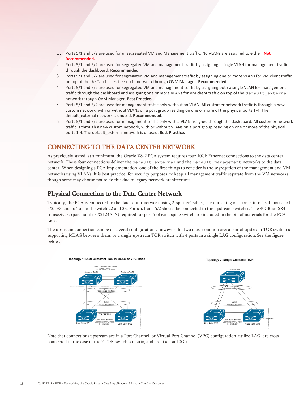- 1. Ports 5/1 and 5/2 are used for unsegregated VM and Management traffic. No VLANs are assigned to either. **Not Recommended.**
- 2. Ports 5/1 and 5/2 are used for segregated VM and management traffic by assigning a single VLAN for management traffic through the dashboard. **Recommended**
- 3. Ports 5/1 and 5/2 are used for segregated VM and management traffic by assigning one or more VLANs for VM client traffic on top of the default\_external network through OVM Manager. **Recommended**.
- 4. Ports 5/1 and 5/2 are used for segregated VM and management traffic by assigning both a single VLAN for management traffic through the dashboard and assigning one or more VLANs for VM client traffic on top of the default external network through OVM Manager. **Best Practice.**
- 5. Ports 5/1 and 5/2 are used for management traffic only without an VLAN. All customer network traffic is through a new custom network, with or without VLANs on a port group residing on one or more of the physical ports 1-4. The default\_external network is unused. **Recommended**.
- 6. Ports 5/1 and 5/2 are used for management traffic only with a VLAN assigned through the dashboard. All customer network traffic is through a new custom network, with or without VLANs on a port group residing on one or more of the physical ports 1-4. The default\_external network is unused. **Best Practice.**

# <span id="page-10-0"></span>CONNECTING TO THE DATA CENTER NETWORK

As previously stated, at a minimum, the Oracle X8-2 PCA system requires four 10Gb Ethernet connections to the data center network. These four connections deliver the default\_external and the default\_management networks to the data center. When designing a PCA implementation, one of the first things to consider is the segregation of the management and VM networks using VLANs. It is best practice, for security purposes, to keep all management traffic separate from the VM networks, though some may choose not to do this due to legacy network architectures.

# <span id="page-10-1"></span>Physical Connection to the Data Center Network

Typically, the PCA is connected to the data center network using 2 'splitter' cables, each breaking out port 5 into 4 sub ports, 5/1, 5/2, 5/3, and 5/4 on both switch 22 and 23. Ports 5/1 and 5/2 should be connected to the upstream switches. The 40GBase-SR4 transceivers (part number X2124A-N) required for port 5 of each spine switch are included in the bill of materials for the PCA rack.

The upstream connection can be of several configurations, however the two most common are: a pair of upstream TOR switches supporting MLAG between them; or a single upstream TOR switch with 4 ports in a single LAG configuration. See the figure below.



Note that connections upstream are in a Port Channel, or Virtual Port Channel (VPC) configuration, utilize LAG, are cross connected in the case of the 2 TOR switch scenario, and are fixed at 10Gb.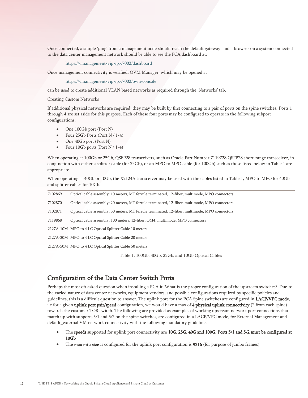Once connected, a simple 'ping' from a management node should reach the default gateway, and a browser on a system connected to the data center management network should be able to see the PCA dashboard at:

#### https://<management-vip-ip>:7002/dashboard

Once management connectivity is verified, OVM Manager, which may be opened at

https://<management-vip-ip>:7002/ovm/console

can be used to create additional VLAN based networks as required through the 'Networks' tab.

Creating Custom Networks

If additional physical networks are required, they may be built by first connecting to a pair of ports on the spine switches. Ports 1 through 4 are set aside for this purpose. Each of these four ports may be configured to operate in the following subport configurations:

- One 100Gb port (Port N)
- Four 25Gb Ports (Port N / 1-4)
- One 40Gb port (Port N)
- Four 10Gb ports (Port  $N/1-4$ )

When operating at 100Gb or 25Gb, QSFP28 transceivers, such as Oracle Part Number 7119728 QSFP28 short-range transceiver, in conjunction with either a splitter cable (for 25Gb), or an MPO to MPO cable (for 100Gb) such as those listed below in Table 1 are appropriate.

When operating at 40Gb or 10Gb, the X2124A transceiver may be used with the cables listed in Table 1, MPO to MPO for 40Gb and splitter cables for 10Gb.

| 7102869 | Optical cable assembly: 10 meters, MT ferrule terminated, 12-fiber, multimode, MPO connectors |
|---------|-----------------------------------------------------------------------------------------------|
| 7102870 | Optical cable assembly: 20 meters, MT ferrule terminated, 12-fiber, multimode, MPO connectors |
| 7102871 | Optical cable assembly: 50 meters, MT ferrule terminated, 12-fiber, multimode, MPO connectors |
| 7119868 | Optical cable assembly: 100 meters, 12-fiber, OM4, multimode, MPO connectors                  |
|         | 2127A-10M MPO to 4 LC Optical Splitter Cable 10 meters                                        |
|         | 2127A-20M MPO to 4 LC Optical Splitter Cable 20 meters                                        |
|         | 2127A-50M MPO to 4 LC Optical Splitter Cable 50 meters                                        |

Table 1. 100Gb, 40Gb, 25Gb, and 10Gb Optical Cables

# <span id="page-11-0"></span>Configuration of the Data Center Switch Ports

Perhaps the most oft asked question when installing a PCA it 'What is the proper configuration of the upstream switches?' Due to the varied nature of data center networks, equipment vendors, and possible configurations required by specific policies and guidelines, this is a difficult question to answer. The uplink port for the PCA Spine switches are configured in LACP/VPC mode, i.e for a given **uplink port pair/speed** configuration, we would have a max of 4 **physical uplink connectivity** (2 from each spine) towards the customer TOR switch. The following are provided as examples of working upstream network port connections that match up with subports 5/1 and 5/2 on the spine switches, are configured in a LACP/VPC mode, for External Management and default\_external VM network connectivity with the following mandatory guidelines:

- The speeds supported for uplink port connectivity are 10G, 25G, 40G and 100G. Ports 5/1 and 5/2 must be configured at 10Gb
- The **max mtu size** is configured for the uplink port configuration is **9216** (for purpose of jumbo frames)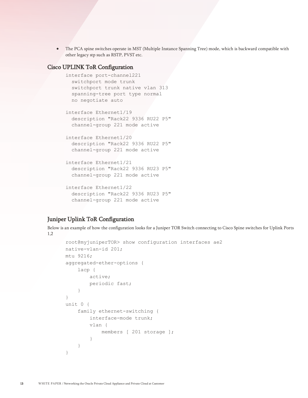• The PCA spine switches operate in MST (Multiple Instance Spanning Tree) mode, which is backward compatible with other legacy stp such as RSTP, PVST etc.

### <span id="page-12-0"></span>Cisco UPLINK ToR Configuration

```
interface port-channel221
   switchport mode trunk
   switchport trunk native vlan 313
   spanning-tree port type normal
   no negotiate auto
interface Ethernet1/19
```

```
 description "Rack22 9336 RU22 P5"
 channel-group 221 mode active
```

```
interface Ethernet1/20
  description "Rack22 9336 RU22 P5"
   channel-group 221 mode active
```

```
interface Ethernet1/21
  description "Rack22 9336 RU23 P5"
   channel-group 221 mode active
```

```
interface Ethernet1/22
  description "Rack22 9336 RU23 P5"
  channel-group 221 mode active
```
# <span id="page-12-1"></span>Juniper Uplink ToR Configuration

```
Below is an example of how the configuration looks for a Juniper TOR Switch connecting to Cisco Spine switches for Uplink Ports 
1,2
```

```
root@myjuniperTOR> show configuration interfaces ae2
native-vlan-id 201;
mtu 9216;
aggregated-ether-options {
     lacp {
         active;
         periodic fast;
     }
}
unit 0 {
     family ethernet-switching {
         interface-mode trunk;
         vlan {
             members [ 201 storage ];
 }
     }
}
```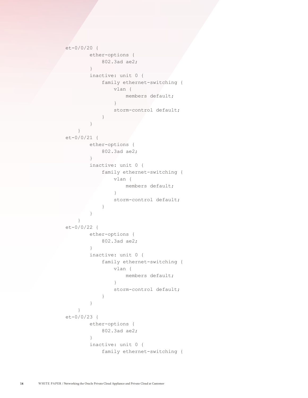```
et-0/0/20 {
        ether-options {
            802.3ad ae2;
 }
        inactive: unit 0 {
            family ethernet-switching {
               vlan {
                   members default;
 }
                storm-control default;
 }
 }
     }
et-0/0/21 {
        ether-options {
            802.3ad ae2;
        }
        inactive: unit 0 {
            family ethernet-switching {
                vlan {
                   members default;
 }
                storm-control default;
 }
 }
 }
et-0/0/22 {
        ether-options {
            802.3ad ae2;
        }
        inactive: unit 0 {
            family ethernet-switching {
               vlan {
                   members default;
 }
                storm-control default;
 }
        }
     }
et-0/0/23 {
        ether-options {
            802.3ad ae2;
        }
        inactive: unit 0 {
            family ethernet-switching {
```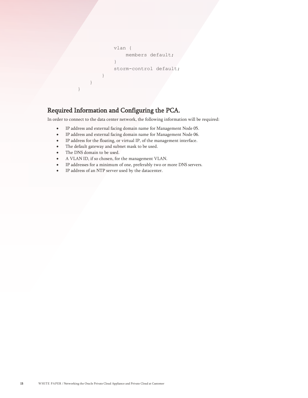```
 vlan {
              members default;
 }
           storm-control default;
 }
 }
```
# <span id="page-14-0"></span>Required Information and Configuring the PCA.

In order to connect to the data center network, the following information will be required:

- IP address and external facing domain name for Management Node 05.
- IP address and external facing domain name for Management Node 06.
- IP address for the floating, or virtual IP, of the management interface.
- The default gateway and subnet mask to be used.
- The DNS domain to be used.

}

- A VLAN ID, if so chosen, for the management VLAN.
- IP addresses for a minimum of one, preferably two or more DNS servers.
- IP address of an NTP server used by the datacenter.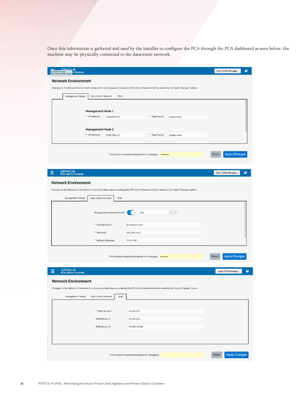Once this information is gathered and used by the installer to configure the PCA through the PCA dashboard as seen below, the machine may be physically connected to the datacenter network.

| ORACLE<br>Go back one page<br>Pull down to show history n Console                                                                                                         | âĥ<br>Open OVM Manager               |
|---------------------------------------------------------------------------------------------------------------------------------------------------------------------------|--------------------------------------|
| <b>Network Environment</b>                                                                                                                                                |                                      |
| Changes to the Network Environment configuration data requires entering the PCA Admin Password before selecting the 'Apply Changes' button.                               |                                      |
| Management Nodes<br>Data Center Network<br><b>DNS</b>                                                                                                                     |                                      |
|                                                                                                                                                                           |                                      |
| <b>Management Node 1</b>                                                                                                                                                  |                                      |
| * IP Address<br>* Host Name<br>10.80.109.160<br>bx8pca-mn1                                                                                                                |                                      |
| <b>Management Node 2</b>                                                                                                                                                  |                                      |
| * IP Address<br>* Host Name<br>10.80.109.161<br>bx8pca-mn2                                                                                                                |                                      |
|                                                                                                                                                                           |                                      |
| * PCA Admin Password(Required for changes) ••••••••                                                                                                                       | <b>Reset</b><br><b>Apply Changes</b> |
|                                                                                                                                                                           |                                      |
| <b>ORACLE</b>                                                                                                                                                             | äå<br>Open OVM Manager               |
| <b>PCA Admin Console</b>                                                                                                                                                  |                                      |
| <b>Network Environment</b><br>Changes to the Network Environment configuration data requires entering the PCA Admin Password before selecting the 'Apply Changes' button. |                                      |
| <b>DNS</b>                                                                                                                                                                |                                      |
| Management Nodes<br>Data Center Network                                                                                                                                   |                                      |
| $\vee$ $\,$ $\wedge$<br><b>Management Network VLAN</b><br>508                                                                                                             |                                      |
|                                                                                                                                                                           |                                      |
| * Domain Name<br>us.example.com                                                                                                                                           |                                      |
| * Netmask<br>255.255.254.0                                                                                                                                                |                                      |
| * Default Gateway<br>10.80.108.1                                                                                                                                          |                                      |
|                                                                                                                                                                           |                                      |
| * PCA Admin Password(Required for changes) ********                                                                                                                       | <b>Apply Changes</b><br>Reset        |
| <b>ORACLE</b><br>≡<br><b>PCA Admin Console</b>                                                                                                                            | ă<br>Open OVM Manager                |
| <b>Network Environment</b>                                                                                                                                                |                                      |
| Changes to the Network Environment configuration data requires entering the PCA Admin Password before selecting the 'Apply Changes' button.                               |                                      |
| Management Nodes<br>Data Center Network<br><b>DNS</b>                                                                                                                     |                                      |
|                                                                                                                                                                           |                                      |
| * DNS Server 1<br>10.223.27.1                                                                                                                                             |                                      |
| <b>DNS Server 2</b><br>10.223.27.2                                                                                                                                        |                                      |
| DNS Server 3<br>10.209.76.198                                                                                                                                             |                                      |
|                                                                                                                                                                           |                                      |
|                                                                                                                                                                           |                                      |
|                                                                                                                                                                           | <b>Apply Changes</b><br>Reset        |
| * PCA Admin Password(Required for changes)                                                                                                                                |                                      |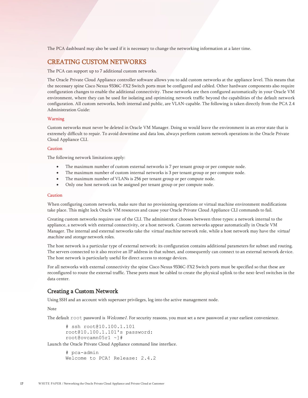The PCA dashboard may also be used if it is necessary to change the networking information at a later time.

# <span id="page-16-0"></span>CREATING CUSTOM NETWORKS

The PCA can support up to 7 additional custom networks.

The Oracle Private Cloud Appliance controller software allows you to add custom networks at the appliance level. This means that the necessary spine Cisco Nexus 9336C-FX2 Switch ports must be configured and cabled. Other hardware components also require configuration changes to enable the additional connectivity. These networks are then configured automatically in your Oracle VM environment, where they can be used for isolating and optimizing network traffic beyond the capabilities of the default network configuration. All custom networks, both internal and public, are VLAN-capable. The following is taken directly from the PCA 2.4 Administration Guide:

#### Warning

Custom networks must never be deleted in Oracle VM Manager. Doing so would leave the environment in an error state that is extremely difficult to repair. To avoid downtime and data loss, always perform custom network operations in the Oracle Private Cloud Appliance CLI.

#### Caution

The following network limitations apply:

- The maximum number of custom external networks is 7 per tenant group or per compute node.
- The maximum number of custom internal networks is 3 per tenant group or per compute node.
- The maximum number of VLANs is 256 per tenant group or per compute node.
- Only one host network can be assigned per tenant group or per compute node.

#### Caution

When configuring custom networks, make sure that no provisioning operations or virtual machine environment modifications take place. This might lock Oracle VM resources and cause your Oracle Private Cloud Appliance CLI commands to fail.

Creating custom networks requires use of the CLI. The administrator chooses between three types: a network internal to the appliance, a network with external connectivity, or a host network. Custom networks appear automatically in Oracle VM Manager. The internal and external networks take the virtual machine network role, while a host network may have the virtual machine and storage network roles.

The host network is a particular type of external network: its configuration contains additional parameters for subnet and routing. The servers connected to it also receive an IP address in that subnet, and consequently can connect to an external network device. The host network is particularly useful for direct access to storage devices.

For all networks with external connectivity the spine Cisco Nexus 9336C-FX2 Switch ports must be specified so that these are reconfigured to route the external traffic. These ports must be cabled to create the physical uplink to the next-level switches in the data center.

# <span id="page-16-1"></span>Creating a Custom Network

Using SSH and an account with superuser privileges, log into the active management node.

Note

The default root password is Welcome1. For security reasons, you must set a new password at your earliest convenience.

```
# ssh root@10.100.1.101
root@10.100.1.101's password:
root@ovcamn05r1 ~]#
```
Launch the Oracle Private Cloud Appliance command line interface.

```
# pca-admin
Welcome to PCA! Release: 2.4.2
```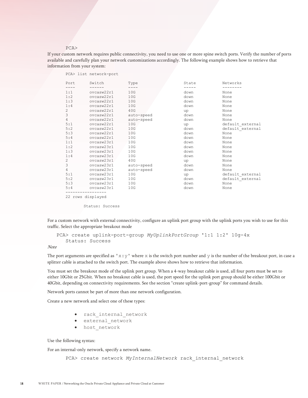#### PCA>

If your custom network requires public connectivity, you need to use one or more spine switch ports. Verify the number of ports available and carefully plan your network customizations accordingly. The following example shows how to retrieve that information from your system:

|  |  | PCA> list network-port |
|--|--|------------------------|
|--|--|------------------------|

| Port                  | Switch     | Type       | State | Networks         |
|-----------------------|------------|------------|-------|------------------|
|                       |            |            |       |                  |
| 1:1                   | ovcasw22r1 | 10G        | down  | None             |
| 1:2                   | ovcasw22r1 | 10G        | down  | None             |
| 1:3                   | ovcasw22r1 | 10G        | down  | None             |
| 1:4                   | ovcasw22r1 | 10G        | down  | None             |
| $\mathbf{2}^{\prime}$ | ovcasw22r1 | 40G        | up    | None             |
| 3                     | ovcasw22r1 | auto-speed | down  | None             |
| $\overline{4}$        | ovcasw22r1 | auto-speed | down  | None             |
| 5:1                   | ovcasw22r1 | 10G        | up    | default external |
| 5:2                   | ovcasw22r1 | 10G        | down  | default external |
| 5:3                   | ovcasw22r1 | 10G        | down  | None             |
| 5:4                   | ovcasw22r1 | 10G        | down  | None             |
| 1:1                   | ovcasw23r1 | 10G        | down  | None             |
| 1:2                   | ovcasw23r1 | 10G        | down  | None             |
| 1:3                   | ovcasw23r1 | 10G        | down  | None             |
| 1:4                   | ovcasw23r1 | 10G        | down  | None             |
| $\overline{2}$        | ovcasw23r1 | 40G        | up    | None             |
| 3                     | ovcasw23r1 | auto-speed | down  | None             |
| $\overline{4}$        | ovcasw23r1 | auto-speed | down  | None             |
| 5:1                   | ovcasw23r1 | 10G        | up    | default external |
| 5:2                   | ovcasw23r1 | 10G        | down  | default external |
| 5:3                   | ovcasw23r1 | 10G        | down  | None             |
| 5:4                   | ovcasw23r1 | 10G        | down  | None             |
| 22 rows displayed     |            |            |       |                  |

Status: Success

For a custom network with external connectivity, configure an uplink port group with the uplink ports you wish to use for this traffic. Select the appropriate breakout mode

PCA> create uplink-port-group *MyUplinkPortGroup* '1:1 1:2' 10g-4x Status: Success

Note

The port arguments are specified as  $'x:y'$  where x is the switch port number and y is the number of the breakout port, in case a splitter cable is attached to the switch port. The example above shows how to retrieve that information.

You must set the breakout mode of the uplink port group. When a 4-way breakout cable is used, all four ports must be set to either 10Gbit or 25Gbit. When no breakout cable is used, the port speed for the uplink port group should be either 100Gbit or 40Gbit, depending on connectivity requirements. See the section "create uplink-port-group" for command details.

Network ports cannot be part of more than one network configuration.

Create a new network and select one of these types:

- rack\_internal\_network
- external\_network
- host\_network

Use the following syntax:

For an internal-only network, specify a network name.

PCA> create network *MyInternalNetwork* rack\_internal\_network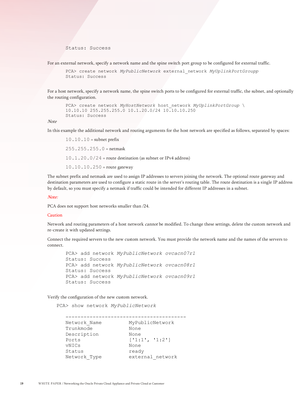Status: Success

For an external network, specify a network name and the spine switch port group to be configured for external traffic.

```
PCA> create network MyPublicNetwork external_network MyUplinkPortGroupp
Status: Success
```
For a host network, specify a network name, the spine switch ports to be configured for external traffic, the subnet, and optionally the routing configuration.

```
PCA> create network MyHostNetwork host_network MyUplinkPortGroup \
10.10.10 255.255.255.0 10.1.20.0/24 10.10.10.250
Status: Success
```
Note

In this example the additional network and routing arguments for the host network are specified as follows, separated by spaces:

 $10.10.10 =$  subnet prefix  $255.255.255.0 =$  netmask  $10.1.20.0/24$  = route destination (as subnet or IPv4 address)  $10.10.10.250$  = route gateway

The subnet prefix and netmask are used to assign IP addresses to servers joining the network. The optional route gateway and destination parameters are used to configure a static route in the server's routing table. The route destination is a single IP address by default, so you must specify a netmask if traffic could be intended for different IP addresses in a subnet.

Note:

PCA does not support host networks smaller than /24.

#### Caution

Network and routing parameters of a host network *cannot* be modified. To change these settings, delete the custom network and re-create it with updated settings.

Connect the required servers to the new custom network. You must provide the network name and the names of the servers to connect.

PCA> add network *MyPublicNetwork ovcacn07r1* Status: Success PCA> add network *MyPublicNetwork ovcacn08r1* Status: Success PCA> add network *MyPublicNetwork ovcacn09r1* Status: Success

Verify the configuration of the new custom network.

PCA> show network *MyPublicNetwork*

| Network Name | MyPublicNetwork  |
|--------------|------------------|
| Trunkmode    | None             |
| Description  | None             |
| Ports        | [1:1', 1:2']     |
| VNICS        | None             |
| Status       | ready            |
| Network Type | external network |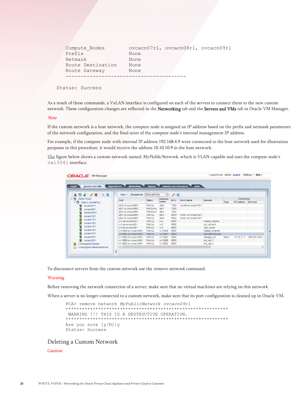```
Compute_Nodes ovcacn07r1, ovcacn08r1, ovcacn09r1
Prefix None
Netmask None
Route Destination None
Route Gateway None
----------------------------------------
```
Status: Success

As a result of these commands, a VxLAN interface is configured on each of the servers to connect them to the new custom network. These configuration changes are reflected in the Networking tab and the Servers and VMs tab in Oracle VM Manager.

#### **Note**

If the custom network is a host network, the compute node is assigned an IP address based on the prefix and netmask parameters of the network configuration, and the final octet of the compute node's internal management IP address.

For example, if the compute node with internal IP address 192.168.4.9 were connected to the host network used for illustration purposes in this procedure, it would receive the address 10.10.10.9 in the host network.

[The](https://docs.oracle.com/en/engineered-systems/private-cloud-appliance/2.4/admin-2.4.1/admin-pca-network-custom.html#fig-admin-pca-network-custom-ovmm) figure below shows a custom network named MyPublicNetwork, which is VLAN-capable and uses the compute node's vx13041 interface.

| $\mathbb{E}[f]/X \leq 0$                                                       | View $\star$          | Perspective: Ethernet Ports | $\pmb{\mathrm{v}}$ | $\mathcal{L}$ <sup><math>\odot</math></sup> |                     |                        |        |                   |               |
|--------------------------------------------------------------------------------|-----------------------|-----------------------------|--------------------|---------------------------------------------|---------------------|------------------------|--------|-------------------|---------------|
| 画<br><b>Server Pools</b>                                                       |                       |                             | Interface          |                                             |                     |                        |        | Addressing        |               |
| 囲<br>V<br>Rack1 ServerPool                                                     | Port                  | <b>Status</b>               | Name               | <b>MTU</b>                                  | <b>Bond Name</b>    | Network                | Type   | <b>IP Address</b> | Netmask       |
| ovcacn07r1                                                                     | eth0 on ovcacn09r1    | Port Up                     | eth <sub>0</sub>   | 1500                                        | bond0 on ovcacn09r1 |                        |        |                   |               |
| 4H<br>ovcacn08r1                                                               | eth1 on ovcacn09r1    | Port Down                   | eth <sub>1</sub>   | 1500                                        |                     |                        |        |                   |               |
| eth2 on ovcacn09r1<br>厢<br>ovcacn09r1<br>eth3 on ovcacn09r1<br>相<br>ovcacn10r1 |                       | Port Down                   | eth <sub>2</sub>   | 1500                                        |                     |                        |        |                   |               |
|                                                                                |                       | Port Up                     | eth3               | 9054                                        | bond1 on ovcacn09r1 |                        |        |                   |               |
|                                                                                | eth4 on ovcacn09r1    | Port Up                     | eth4               | 9054                                        | bond1 on ovcacn09r1 |                        |        |                   |               |
| ovcacn11r1                                                                     | vx2 on ovcacn09r1     | Port Up                     | vx2                | 9000                                        |                     | default_internal       |        |                   |               |
| ovcacn12r1                                                                     | vx3 on ovcacn09r1     | Port Up                     | vx3                | 9000                                        |                     | pvi_network            |        |                   |               |
| ovcacn13r1                                                                     | vx4 on ovcacn09r1     | Port Up                     | vx4                | 9000                                        |                     | vian stress            |        |                   |               |
| ovcacn14r1                                                                     | vx13040 on ovcacn09r1 | Port Up                     | vx13040            | 9000                                        |                     | default external       |        |                   |               |
| 相<br>ovcacn34r1                                                                | vx13041 on ovcacn09r1 | Port Up                     | yx13041            | 9000                                        |                     | <b>MyPublicNetwork</b> |        |                   |               |
| ovcacn35r1                                                                     | vx13042 on ovcacn09r1 | Port Up                     | vx13042            | 9000                                        |                     | storage net            | Static | 10.16.11.11       | 255.255.240.0 |
| ovcacn36r1                                                                     | vx13050 on ovcacn09r1 | Port Up                     | vx13050            | 9000                                        |                     | ext_net_1              |        |                   |               |
| TH<br><b>Unassigned Servers</b>                                                | vx13052 on ovcacn09r1 | Port Up                     | vx13052            | 9000                                        |                     | ext_net_2              |        |                   |               |

To disconnect servers from the custom network use the remove network command.

#### Warning

Before removing the network connection of a server, make sure that no virtual machines are relying on this network.

When a server is no longer connected to a custom network, make sure that its port configuration is cleaned up in Oracle VM.

PCA> remove network *MyPublicNetwork ovcacn09r1* \*\*\*\*\*\*\*\*\*\*\*\*\*\*\*\*\*\*\*\*\*\*\*\*\*\*\*\*\*\*\*\*\*\*\*\*\*\*\*\*\*\*\*\*\*\*\*\*\*\*\*\*\*\*\*\*\*\*\*\* WARNING !!! THIS IS A DESTRUCTIVE OPERATION. \*\*\*\*\*\*\*\*\*\*\*\*\*\*\*\*\*\*\*\*\*\*\*\*\*\*\*\*\*\*\*\*\*\*\*\*\*\*\*\*\*\*\*\*\*\*\*\*\*\*\*\*\*\*\*\*\*\*\*\* Are you sure [y/N]:y Status: Success

#### <span id="page-19-0"></span>Deleting a Custom Network

#### Caution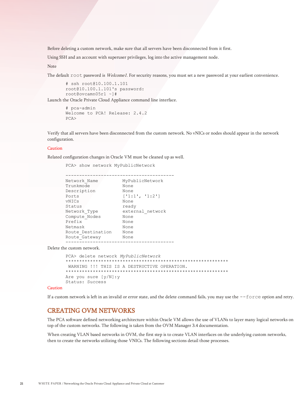Before deleting a custom network, make sure that all servers have been disconnected from it first.

Using SSH and an account with superuser privileges, log into the active management node.

#### Note

The default root password is Welcome1. For security reasons, you must set a new password at your earliest convenience.

```
# ssh root@10.100.1.101
root@10.100.1.101's password:
root@ovcamn05r1 ~]#
```
Launch the Oracle Private Cloud Appliance command line interface.

```
# pca-admin
Welcome to PCA! Release: 2.4.2
PCA>
```
Verify that all servers have been disconnected from the custom network. No vNICs or nodes should appear in the network configuration.

#### **Caution**

Related configuration changes in Oracle VM must be cleaned up as well.

PCA> show network MyPublicNetwork

| Network Name      | MyPublicNetwork  |
|-------------------|------------------|
| Trunkmode         | None             |
| Description       | None             |
| Ports             | [ '1:1 ', '1:2'] |
| VNICS             | None             |
| Status            | ready            |
| Network Type      | external network |
| Compute Nodes     | None             |
| Prefix            | None             |
| Netmask           | None             |
| Route Destination | None             |
| Route Gateway     | None             |
|                   |                  |

Delete the custom network.

```
PCA> delete network MyPublicNetwork
                                         ************************************************************
WARNING !!! THIS IS A DESTRUCTIVE OPERATION.
************************************************************
Are you sure [y/N]:y
Status: Success
```
#### **Caution**

If a custom network is left in an invalid or error state, and the delete command fails, you may use the  $-\text{force}$  option and retry.

# <span id="page-20-0"></span>CREATING OVM NETWORKS

The PCA software defined networking architecture within Oracle VM allows the use of VLANs to layer many logical networks on top of the custom networks. The following is taken from the OVM Manager 3.4 documentation.

When creating VLAN based networks in OVM, the first step is to create VLAN interfaces on the underlying custom networks, then to create the networks utilizing those VNICs. The following sections detail those processes.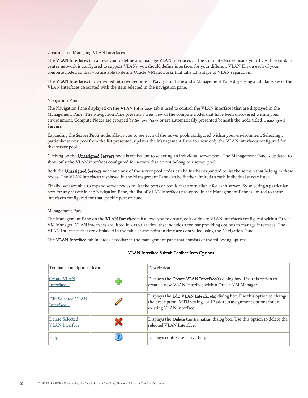#### <span id="page-21-0"></span>Creating and Managing VLAN Interfaces

The VLAN Interfaces tab allows you to define and manage VLAN interfaces on the Compute Nodes inside your PCA. If your data center network is configured to support VLANs, you should define interfaces for your different VLAN IDs on each of your compute nodes, so that you are able to define Oracle VM networks that take advantage of VLAN separation.

The VLAN Interfaces tab is divided into two sections, a Navigation Pane and a Management Pane displaying a tabular view of the VLAN Interfaces associated with the item selected in the navigation pane.

#### <span id="page-21-1"></span>Navigation Pane

The Navigation Pane displayed on the VLAN Interfaces tab is used to control the VLAN interfaces that are displayed in the Management Pane. The Navigation Pane presents a tree view of the compute nodes that have been discovered within your environment. Compute Nodes are grouped by Server Pools or are automatically presented beneath the node titled Unassigned Servers.

Expanding the Server Pools node, allows you to see each of the server pools configured within your environment. Selecting a particular server pool from the list presented, updates the Management Pane to show only the VLAN interfaces configured for that server pool.

Clicking on the Unassigned Servers node is equivalent to selecting an individual server pool. The Management Pane is updated to show only the VLAN interfaces configured for servers that do not belong to a server pool.

Both the Unassigned Servers node and any of the server pool nodes can be further expanded to list the servers that belong to these nodes. The VLAN interfaces displayed in the Management Pane can be further limited to each individual server listed.

Finally, you are able to expand server nodes to list the ports or bonds that are available for each server. By selecting a particular port for any server in the Navigation Pane, the list of VLAN interfaces presented in the Management Pane is limited to those interfaces configured for that specific port or bond.

#### <span id="page-21-2"></span>Management Pane

The Management Pane on the VLAN Interface tab allows you to create, edit or delete VLAN interfaces configured within Oracle VM Manager. VLAN interfaces are listed in a tabular view that includes a toolbar providing options to manage interfaces. The VLAN Interfaces that are displayed in the table at any point in time are controlled using the Navigation Pane.

The VLAN Interface tab includes a toolbar in the management pane that consists of the following options:

#### VLAN Interface Subtab Toolbar Icon Options

| Toolbar Icon Option  Icon                |    | Description                                                                                                                                                                           |
|------------------------------------------|----|---------------------------------------------------------------------------------------------------------------------------------------------------------------------------------------|
| Create VLAN<br>Interface                 |    | Displays the <b>Create VLAN Interface(s)</b> dialog box. Use this option to<br>create a new VLAN Interface within Oracle VM Manager.                                                  |
| Edit Selected VLAN<br>Interface          |    | Displays the <b>Edit VLAN Interface(s)</b> dialog box. Use this option to change<br>the description, MTU settings or IP address assignment options for an<br>existing VLAN Interface. |
| Delete Selected<br><b>VLAN</b> Interface | X. | Displays the Delete Confirmation dialog box. Use this option to delete the<br>selected VLAN Interface.                                                                                |
| Help                                     |    | Displays context sensitive help.                                                                                                                                                      |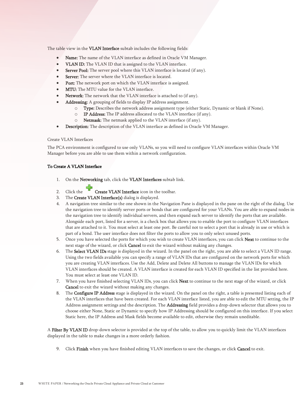The table view in the VLAN Interface subtab includes the following fields:

- Name: The name of the VLAN interface as defined in Oracle VM Manager.
- VLAN ID: The VLAN ID that is assigned to the VLAN interface.
- Server Pool: The server pool where this VLAN interface is located (if any).
- Server: The server where the VLAN interface is located.
- Port: The network port on which the VLAN interface is assigned.
- MTU: The MTU value for the VLAN interface.
- Network: The network that the VLAN interface is attached to (if any).
- Addressing: A grouping of fields to display IP address assignment.
	- o Type: Describes the network address assignment type (either Static, Dynamic or blank if None).
	- o IP Address: The IP address allocated to the VLAN interface (if any).
	- o Netmask: The netmask applied to the VLAN interface (if any).
- Description: The description of the VLAN interface as defined in Oracle VM Manager.

#### <span id="page-22-0"></span>Create VLAN Interfaces

The PCA environment is configured to use only VLANs, so you will need to configure VLAN interfaces within Oracle VM Manager before you are able to use them within a network configuration.

#### To Create A VLAN Interface

- 1. On the Networking tab, click the VLAN Interfaces subtab link.
- 2. Click the **Create VLAN Interface** icon in the toolbar.
- 3. The Create VLAN Interface(s) dialog is displayed.
- 4. A navigation tree similar to the one shown in the Navigation Pane is displayed in the pane on the right of the dialog. Use the navigation tree to identify server ports or bonds that are configured for your VLANs. You are able to expand nodes in the navigation tree to identify individual servers, and then expand each server to identify the ports that are available. Alongside each port, listed for a server, is a check box that allows you to enable the port to configure VLAN interfaces that are attached to it. You must select at least one port. Be careful not to select a port that is already in use or which is part of a bond. The user interface does not filter the ports to allow you to only select unused ports.
- 5. Once you have selected the ports for which you wish to create VLAN interfaces, you can click Next to continue to the next stage of the wizard, or click Cancel to exit the wizard without making any changes.
- 6. The Select VLAN IDs stage is displayed in the wizard. In the panel on the right, you are able to select a VLAN ID range. Using the two fields available you can specify a range of VLAN IDs that are configured on the network ports for which you are creating VLAN interfaces. Use the Add, Delete and Delete All buttons to manage the VLAN IDs for which VLAN interfaces should be created. A VLAN interface is created for each VLAN ID specified in the list provided here. You must select at least one VLAN ID.
- 7. When you have finished selecting VLAN IDs, you can click Next to continue to the next stage of the wizard, or click Cancel to exit the wizard without making any changes.
- 8. The Configure IP Address stage is displayed in the wizard. On the panel on the right, a table is presented listing each of the VLAN interfaces that have been created. For each VLAN interface listed, you are able to edit the MTU setting, the IP Address assignment settings and the description. The Addressing field provides a drop-down selector that allows you to choose either None, Static or Dynamic to specify how IP Addressing should be configured on this interface. If you select Static here, the IP Address and Mask fields become available to edit, otherwise they remain uneditable.

A Filter By VLAN ID drop-down selector is provided at the top of the table, to allow you to quickly limit the VLAN interfaces displayed in the table to make changes in a more orderly fashion.

9. Click Finish when you have finished editing VLAN interfaces to save the changes, or click Cancel to exit.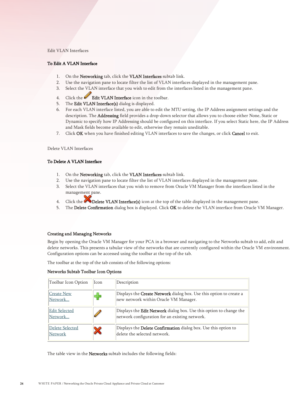<span id="page-23-0"></span>Edit VLAN Interfaces

#### To Edit A VLAN Interface

- 1. On the Networking tab, click the VLAN Interfaces subtab link.
- 2. Use the navigation pane to locate filter the list of VLAN interfaces displayed in the management pane.
- 3. Select the VLAN interface that you wish to edit from the interfaces listed in the management pane.
- 4. Click the **Edit VLAN Interface** icon in the toolbar.
- 5. The Edit VLAN Interface(s) dialog is displayed.
- 6. For each VLAN interface listed, you are able to edit the MTU setting, the IP Address assignment settings and the description. The Addressing field provides a drop-down selector that allows you to choose either None, Static or Dynamic to specify how IP Addressing should be configured on this interface. If you select Static here, the IP Address and Mask fields become available to edit, otherwise they remain uneditable.
- 7. Click OK when you have finished editing VLAN interfaces to save the changes, or click Cancel to exit.

<span id="page-23-1"></span>Delete VLAN Interfaces

#### To Delete A VLAN Interface

- 1. On the Networking tab, click the VLAN Interfaces subtab link.
- 2. Use the navigation pane to locate filter the list of VLAN interfaces displayed in the management pane.
- 3. Select the VLAN interfaces that you wish to remove from Oracle VM Manager from the interfaces listed in the management pane.
- 4. Click the **ODelete VLAN Interface(s)** icon at the top of the table displayed in the management pane.
- 5. The Delete Confirmation dialog box is displayed. Click OK to delete the VLAN interface from Oracle VM Manager.

#### <span id="page-23-2"></span>Creating and Managing Networks

Begin by opening the Oracle VM Manager for your PCA in a browser and navigating to the Networks subtab to add, edit and delete networks. This presents a tabular view of the networks that are currently configured within the Oracle VM environment. Configuration options can be accessed using the toolbar at the top of the tab.

The toolbar at the top of the tab consists of the following options:

| Networks Subtab Toolbar Icon Options |  |  |
|--------------------------------------|--|--|
|--------------------------------------|--|--|

| Toolbar Icon Option             | <b>Icon</b> | Description                                                                                                                  |
|---------------------------------|-------------|------------------------------------------------------------------------------------------------------------------------------|
| Create New<br>Network           | ٩Þ          | Displays the <b>Create Network</b> dialog box. Use this option to create a<br>new network within Oracle VM Manager.          |
| <b>Edit Selected</b><br>Network | Í           | Displays the <b>Edit Network</b> dialog box. Use this option to change the<br>network configuration for an existing network. |
| Delete Selected<br>Network      | X           | Displays the <b>Delete Confirmation</b> dialog box. Use this option to<br>delete the selected network.                       |

The table view in the **Networks** subtab includes the following fields: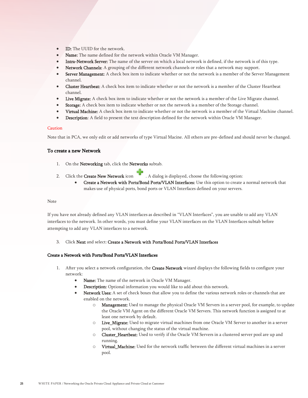- ID: The UUID for the network.
- Name: The name defined for the network within Oracle VM Manager.
- Intra-Network Server: The name of the server on which a local network is defined, if the network is of this type.
- Network Channels: A grouping of the different network channels or roles that a network may support.
- Server Management: A check box item to indicate whether or not the network is a member of the Server Management channel.
- Cluster Heartbeat: A check box item to indicate whether or not the network is a member of the Cluster Heartbeat channel.
- Live Migrate: A check box item to indicate whether or not the network is a member of the Live Migrate channel.
- Storage: A check box item to indicate whether or not the network is a member of the Storage channel.
- Virtual Machine: A check box item to indicate whether or not the network is a member of the Virtual Machine channel.
- Description: A field to present the text description defined for the network within Oracle VM Manager.

#### Caution

Note that in PCA, we only edit or add networks of type Virtual Macine. All others are pre-defined and should never be changed.

#### To create a new Network

- 1. On the Networking tab, click the Networks subtab.
- 2. Click the Create New Network icon **1** A dialog is displayed, choose the following option:
	- Create a Network with Ports/Bond Ports/VLAN Interfaces: Use this option to create a normal network that makes use of physical ports, bond ports or VLAN Interfaces defined on your servers.

#### Note

If you have not already defined any VLAN interfaces as described in "VLAN Interfaces", you are unable to add any VLAN interfaces to the network. In other words, you must define your VLAN interfaces on the VLAN Interfaces subtab before attempting to add any VLAN interfaces to a network.

#### 3. Click Next and select: Create a Network with Ports/Bond Ports/VLAN Interfaces

### Create a Network with Ports/Bond Ports/VLAN Interfaces

- 1. After you select a network configuration, the Create Network wizard displays the following fields to configure your network:
	- Name: The name of the network in Oracle VM Manager.
	- Description: Optional information you would like to add about this network.
	- Network Uses: A set of check boxes that allow you to define the various network roles or channels that are enabled on the network.
		- o Management: Used to manage the physical Oracle VM Servers in a server pool, for example, to update the Oracle VM Agent on the different Oracle VM Servers. This network function is assigned to at least one network by default.
		- o Live\_Migrate: Used to migrate virtual machines from one Oracle VM Server to another in a server pool, without changing the status of the virtual machine.
		- o Cluster\_Heartbeat: Used to verify if the Oracle VM Servers in a clustered server pool are up and running.
		- o Virtual\_Machine: Used for the network traffic between the different virtual machines in a server pool.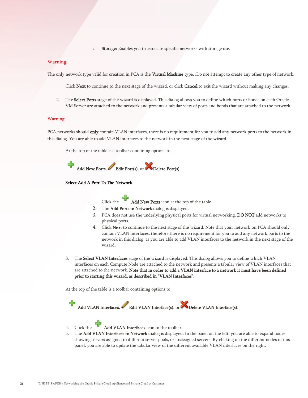o Storage: Enables you to associate specific networks with storage use.

#### Warning:

The only network type valid for creation in PCA is the Virtual Machine type. .Do not attempt to create any other type of network.

Click Next to continue to the next stage of the wizard, or click Cancel to exit the wizard without making any changes.

2. The Select Ports stage of the wizard is displayed. This dialog allows you to define which ports or bonds on each Oracle VM Server are attached to the network and presents a tabular view of ports and bonds that are attached to the network.

#### Warning:

PCA networks should only contain VLAN interfaces, there is no requirement for you to add any network ports to the network in this dialog. You are able to add VLAN interfaces to the network in the next stage of the wizard.

At the top of the table is a toolbar containing options to:



#### Select Add A Port To The Network

- 1. Click the **Add New Ports** icon at the top of the table.
- 2. The Add Ports to Network dialog is displayed.
- 3. PCA does not use the underlying physical ports for virtual networking. DO NOT add networks to physical ports.
- 4. Click Next to continue to the next stage of the wizard. Note that your network on PCA should only contain VLAN interfaces, therefore there is no requirement for you to add any network ports to the network in this dialog, as you are able to add VLAN interfaces to the network in the next stage of the wizard.
- 3. The Select VLAN Interfaces stage of the wizard is displayed. This dialog allows you to define which VLAN interfaces on each Compute Node are attached to the network and presents a tabular view of VLAN interfaces that are attached to the network. Note that in order to add a VLAN interface to a network it must have been defined prior to starting this wizard, as described in "VLAN Interfaces".

At the top of the table is a toolbar containing options to:

Add VLAN Interfaces, **Edit VLAN Interface(s)**, or **A** Delete VLAN Interface(s).

- 4. Click the  $\blacksquare$  Add VLAN Interfaces icon in the toolbar.
- 5. The Add VLAN Interfaces to Network dialog is displayed. In the panel on the left, you are able to expand nodes showing servers assigned to different server pools, or unassigned servers. By clicking on the different nodes in this panel, you are able to update the tabular view of the different available VLAN interfaces on the right.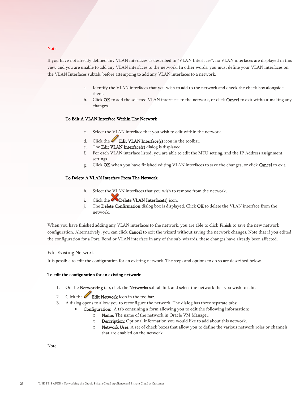#### **Note**

If you have not already defined any VLAN interfaces as described in "VLAN Interfaces", no VLAN interfaces are displayed in this view and you are unable to add any VLAN interfaces to the network. In other words, you must define your VLAN interfaces on the VLAN Interfaces subtab, before attempting to add any VLAN interfaces to a network.

- a. Identify the VLAN interfaces that you wish to add to the network and check the check box alongside them.
- b. Click OK to add the selected VLAN interfaces to the network, or click Cancel to exit without making any changes.

### To Edit A VLAN Interface Within The Network

- c. Select the VLAN interface that you wish to edit within the network.
- d. Click the **Edit VLAN Interface(s)** icon in the toolbar.
- The Edit VLAN Interface(s) dialog is displayed.
- f. For each VLAN interface listed, you are able to edit the MTU setting, and the IP Address assignment settings.
- g. Click OK when you have finished editing VLAN interfaces to save the changes, or click Cancel to exit.

#### To Delete A VLAN Interface From The Network

- h. Select the VLAN interfaces that you wish to remove from the network.
- i. Click the **Delete VLAN Interface(s)** icon.
- j. The Delete Confirmation dialog box is displayed. Click OK to delete the VLAN interface from the network.

When you have finished adding any VLAN interfaces to the network, you are able to click Finish to save the new network configuration. Alternatively, you can click Cancel to exit the wizard without saving the network changes. Note that if you edited the configuration for a Port, Bond or VLAN interface in any of the sub-wizards, these changes have already been affected.

#### <span id="page-26-0"></span>Edit Existing Network

It is possible to edit the configuration for an existing network. The steps and options to do so are described below.

#### To edit the configuration for an existing network:

- 1. On the Networking tab, click the Networks subtab link and select the network that you wish to edit.
- 2. Click the **Edit Network** icon in the toolbar.
- 3. A dialog opens to allow you to reconfigure the network. The dialog has three separate tabs:
	- Configuration:: A tab containing a form allowing you to edit the following information:
		- o Name: The name of the network in Oracle VM Manager.
		- o Description: Optional information you would like to add about this network.
		- o Network Uses: A set of check boxes that allow you to define the various network roles or channels that are enabled on the network.

Note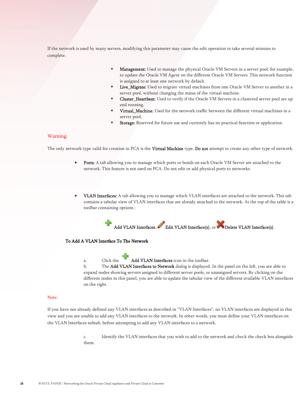If the network is used by many servers, modifying this parameter may cause the edit operation to take several minutes to complete.

- Management: Used to manage the physical Oracle VM Servers in a server pool, for example, to update the Oracle VM Agent on the different Oracle VM Servers. This network function is assigned to at least one network by default.
- Live\_Migrate: Used to migrate virtual machines from one Oracle VM Server to another in a server pool, without changing the status of the virtual machine.
- Cluster\_Heartbeat: Used to verify if the Oracle VM Servers in a clustered server pool are up and running.
- Virtual\_Machine: Used for the network traffic between the different virtual machines in a server pool.
- Storage: Reserved for future use and currently has no practical function or application.

#### Warning:

The only network type valid for creation in PCA is the Virtual Machine type. Do not attempt to create any other type of network.

- Ports: A tab allowing you to manage which ports or bonds on each Oracle VM Server are attached to the network. This feature is not used on PCA. Do not edit or add physical ports to networks.
- VLAN Interfaces: A tab allowing you to manage which VLAN interfaces are attached to the network. This tab contains a tabular view of VLAN interfaces that are already attached to the network. At the top of the table is a toolbar containing options :

Add VLAN Interfaces, Edit VLAN Interface(s), or Delete VLAN Interface(s).

#### To Add A VLAN Interface To The Network

a. Click the **Add VLAN Interfaces** icon in the toolbar.

b. The Add VLAN Interfaces to Network dialog is displayed. In the panel on the left, you are able to expand nodes showing servers assigned to different server pools, or unassigned servers. By clicking on the different nodes in this panel, you are able to update the tabular view of the different available VLAN interfaces on the right.

#### Note:

If you have not already defined any VLAN interfaces as described in "VLAN Interfaces", no VLAN interfaces are displayed in this view and you are unable to add any VLAN interfaces to the network. In other words, you must define your VLAN interfaces on the VLAN Interfaces subtab, before attempting to add any VLAN interfaces to a network.

> c. Identify the VLAN interfaces that you wish to add to the network and check the check box alongside them.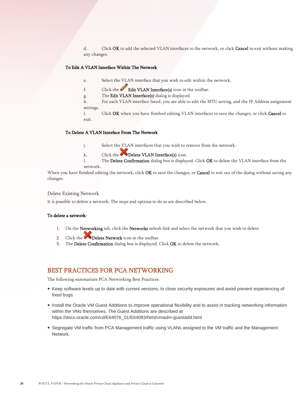d. Click OK to add the selected VLAN interfaces to the network, or click Cancel to exit without making any changes.

### To Edit A VLAN Interface Within The Network

- e. Select the VLAN interface that you wish to edit within the network.
- f. Click the **Edit VLAN Interface(s)** icon in the toolbar.
- g. The Edit VLAN Interface(s) dialog is displayed.

h. For each VLAN interface listed, you are able to edit the MTU setting, and the IP Address assignment settings.

i. Click OK when you have finished editing VLAN interfaces to save the changes, or click Cancel to exit.

### To Delete A VLAN Interface From The Network

j. Select the VLAN interfaces that you wish to remove from the network.

k. Click the **Delete VLAN Interface(s)** icon.

l. The Delete Confirmation dialog box is displayed. Click OK to delete the VLAN interface from the network.

When you have finished editing the network, click OK to save the changes, or Cancel to exit out of the dialog without saving any changes.

<span id="page-28-0"></span>Delete Existing Network

It is possible to delete a network. The steps and options to do so are described below.

#### To delete a network:

- 1. On the Networking tab, click the Networks subtab link and select the network that you wish to delete.
- 2. Click the **Delete Network** icon in the toolbar.
- 3. The Delete Confirmation dialog box is displayed. Click OK to delete the network.

### <span id="page-28-1"></span>BEST PRACTICES FOR PCA NETWORKING

The following summarizes PCA Networking Best Practices:

- Keep software levels up to date with current versions, to close security exposures and avoid prevent experiencing of fixed bugs.
- Install the Oracle VM Guest Additions to improve operational flexibility and to assist in tracking networking information within the VMs themselves. The Guest Additions are described at https://docs.oracle.com/cd/E64076\_01/E64083/html/vmadm-guestadd.html
- Segregate VM traffic from PCA Management traffic using VLANs assigned to the VM traffic and the Management Network.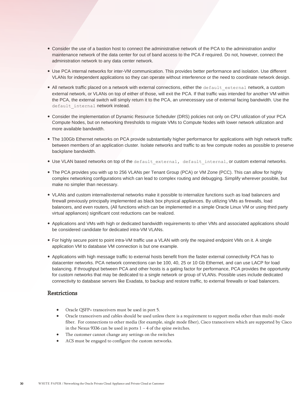- Consider the use of a bastion host to connect the administrative network of the PCA to the administration and/or maintenance network of the data center for out of band access to the PCA if required. Do not, however, connect the administration network to any data center network.
- Use PCA internal networks for inter-VM communication. This provides better performance and isolation. Use different VLANs for independent applications so they can operate without interference or the need to coordinate network design.
- All network traffic placed on a network with external connections, either the default external network, a custom external network, or VLANs on top of either of those, will exit the PCA. If that traffic was intended for another VM within the PCA, the external switch will simply return it to the PCA, an unnecessary use of external facing bandwidth. Use the default internal network instead.
- Consider the implementation of Dynamic Resource Scheduler (DRS) policies not only on CPU utilization of your PCA Compute Nodes, but on networking thresholds to migrate VMs to Compute Nodes with lower network utilization and more available bandwidth.
- The 100Gb Ethernet networks on PCA provide substantially higher performance for applications with high network traffic between members of an application cluster. Isolate networks and traffic to as few compute nodes as possible to preserve backplane bandwidth.
- . Use VLAN based networks on top of the default external, default internal, or custom external networks.
- The PCA provides you with up to 256 VLANs per Tenant Group (PCA) or VM Zone (PCC). This can allow for highly complex networking configurations which can lead to complex routing and debugging. Simplify wherever possible, but make no simpler than necessary.
- VLANs and custom internal/external networks make it possible to internalize functions such as load balancers and firewall previously principally implemented as black box physical appliances. By utilizing VMs as firewalls, load balancers, and even routers, (All functions which can be implemented in a simple Oracle Linux VM or using third party virtual appliances) significant cost reductions can be realized.
- Applications and VMs with high or dedicated bandwidth requirements to other VMs and associated applications should be considered candidate for dedicated intra-VM VLANs.
- For highly secure point to point intra-VM traffic use a VLAN with only the required endpoint VMs on it. A single application VM to database VM connection is but one example.
- Applications with high message traffic to external hosts benefit from the faster external connectivity PCA has to datacenter networks. PCA network connections can be 100, 40, 25 or 10 Gb Ethernet, and can use LACP for load balancing. If throughput between PCA and other hosts is a gating factor for performance, PCA provides the opportunity for custom networks that may be dedicated to a single network or group of VLANs. Possible uses include dedicated connectivity to database servers like Exadata, to backup and restore traffic, to external firewalls or load balancers.

### <span id="page-29-0"></span>**Restrictions**

- Oracle QSFP+ transceivers must be used in port 5.
- Oracle transceivers and cables should be used unless there is a requirement to support media other than multi-mode fiber. For connections to other media (for example, single mode fiber), Cisco transceivers which are supported by Cisco in the Nexus 9336 can be used in ports  $1 - 4$  of the spine switches.
- The customer cannot change any settings on the switches
- ACS must be engaged to configure the custom networks.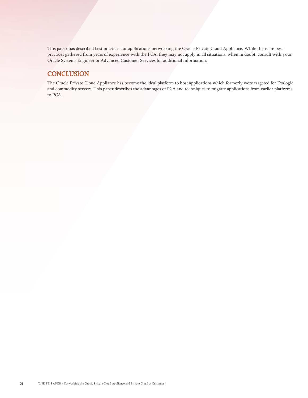This paper has described best practices for applications networking the Oracle Private Cloud Appliance. While these are best practices gathered from years of experience with the PCA, they may not apply in all situations, when in doubt, consult with your Oracle Systems Engineer or Advanced Customer Services for additional information.

# <span id="page-30-0"></span>**CONCLUSION**

The Oracle Private Cloud Appliance has become the ideal platform to host applications which formerly were targeted for Exalogic and commodity servers. This paper describes the advantages of PCA and techniques to migrate applications from earlier platforms to PCA.